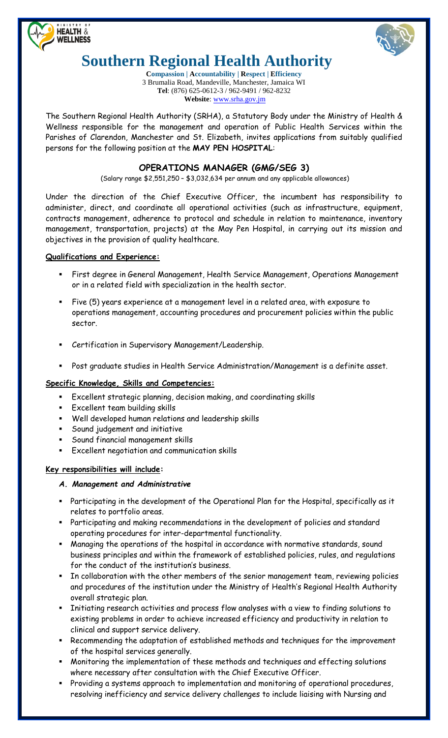



# **Southern Regional Health Authority**

**Compassion | Accountability | Respect | Efficiency** 3 Brumalia Road, Mandeville, Manchester, Jamaica WI **Tel**: (876) 625-0612-3 / 962-9491 / 962-8232 **Website**: [www.srha.gov.jm](http://www.srha.gov.jm/)

The Southern Regional Health Authority (SRHA), a Statutory Body under the Ministry of Health & Wellness responsible for the management and operation of Public Health Services within the Parishes of Clarendon, Manchester and St. Elizabeth, invites applications from suitably qualified persons for the following position at the **MAY PEN HOSPITAL**:

# **OPERATIONS MANAGER (GMG/SEG 3)**

(Salary range \$2,551,250 – \$3,032,634 per annum and any applicable allowances)

Under the direction of the Chief Executive Officer, the incumbent has responsibility to administer, direct, and coordinate all operational activities (such as infrastructure, equipment, contracts management, adherence to protocol and schedule in relation to maintenance, inventory management, transportation, projects) at the May Pen Hospital, in carrying out its mission and objectives in the provision of quality healthcare.

## **Qualifications and Experience:**

- First degree in General Management, Health Service Management, Operations Management or in a related field with specialization in the health sector.
- Five (5) years experience at a management level in a related area, with exposure to operations management, accounting procedures and procurement policies within the public sector.
- Certification in Supervisory Management/Leadership.
- Post graduate studies in Health Service Administration/Management is a definite asset.

#### **Specific Knowledge, Skills and Competencies:**

- Excellent strategic planning, decision making, and coordinating skills
- Excellent team building skills
- Well developed human relations and leadership skills
- Sound judgement and initiative
- Sound financial management skills
- Excellent negotiation and communication skills

#### **Key responsibilities will include:**

#### *A. Management and Administrative*

- Participating in the development of the Operational Plan for the Hospital, specifically as it relates to portfolio areas.
- Participating and making recommendations in the development of policies and standard operating procedures for inter-departmental functionality.
- Managing the operations of the hospital in accordance with normative standards, sound business principles and within the framework of established policies, rules, and regulations for the conduct of the institution's business.
- **IF The collaboration with the other members of the senior management team, reviewing policies** and procedures of the institution under the Ministry of Health's Regional Health Authority overall strategic plan.
- Initiating research activities and process flow analyses with a view to finding solutions to existing problems in order to achieve increased efficiency and productivity in relation to clinical and support service delivery.
- Recommending the adaptation of established methods and techniques for the improvement of the hospital services generally.
- Monitoring the implementation of these methods and techniques and effecting solutions where necessary after consultation with the Chief Executive Officer.
- Providing a systems approach to implementation and monitoring of operational procedures, resolving inefficiency and service delivery challenges to include liaising with Nursing and